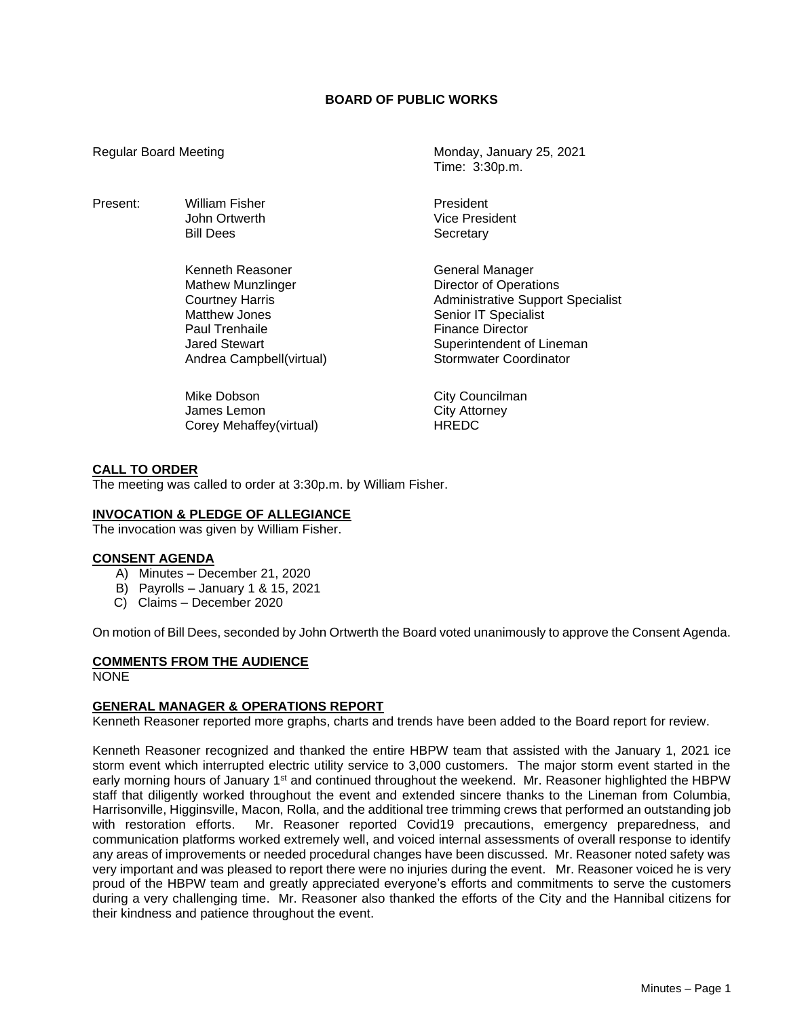## **BOARD OF PUBLIC WORKS**

Present: William Fisher **President** President

Kenneth Reasoner General Manager Mathew Munzlinger **Director of Operations** Paul Trenhaile **Finance Director** 

Mike Dobson **City Councilman** James Lemon<br>
Corey Mehaffey(virtual)<br>
Corey Mehaffey(virtual)<br>
City AREDC Corey Mehaffey(virtual)

Regular Board Meeting Monday, January 25, 2021 Time: 3:30p.m.

> John Ortwerth Vice President Bill Dees Secretary

Courtney Harris **Administrative Support Specialist**<br>
Matthew Jones **Administrative Senior IT Specialist** Senior IT Specialist Jared Stewart **Superintendent of Lineman** Andrea Campbell(virtual) Stormwater Coordinator

### **CALL TO ORDER**

The meeting was called to order at 3:30p.m. by William Fisher.

#### **INVOCATION & PLEDGE OF ALLEGIANCE**

The invocation was given by William Fisher.

#### **CONSENT AGENDA**

- A) Minutes December 21, 2020
- B) Payrolls January 1 & 15, 2021
- C) Claims December 2020

On motion of Bill Dees, seconded by John Ortwerth the Board voted unanimously to approve the Consent Agenda.

### **COMMENTS FROM THE AUDIENCE**

NONE

### **GENERAL MANAGER & OPERATIONS REPORT**

Kenneth Reasoner reported more graphs, charts and trends have been added to the Board report for review.

Kenneth Reasoner recognized and thanked the entire HBPW team that assisted with the January 1, 2021 ice storm event which interrupted electric utility service to 3,000 customers. The major storm event started in the early morning hours of January 1<sup>st</sup> and continued throughout the weekend. Mr. Reasoner highlighted the HBPW staff that diligently worked throughout the event and extended sincere thanks to the Lineman from Columbia, Harrisonville, Higginsville, Macon, Rolla, and the additional tree trimming crews that performed an outstanding job with restoration efforts. Mr. Reasoner reported Covid19 precautions, emergency preparedness, and communication platforms worked extremely well, and voiced internal assessments of overall response to identify any areas of improvements or needed procedural changes have been discussed. Mr. Reasoner noted safety was very important and was pleased to report there were no injuries during the event. Mr. Reasoner voiced he is very proud of the HBPW team and greatly appreciated everyone's efforts and commitments to serve the customers during a very challenging time. Mr. Reasoner also thanked the efforts of the City and the Hannibal citizens for their kindness and patience throughout the event.